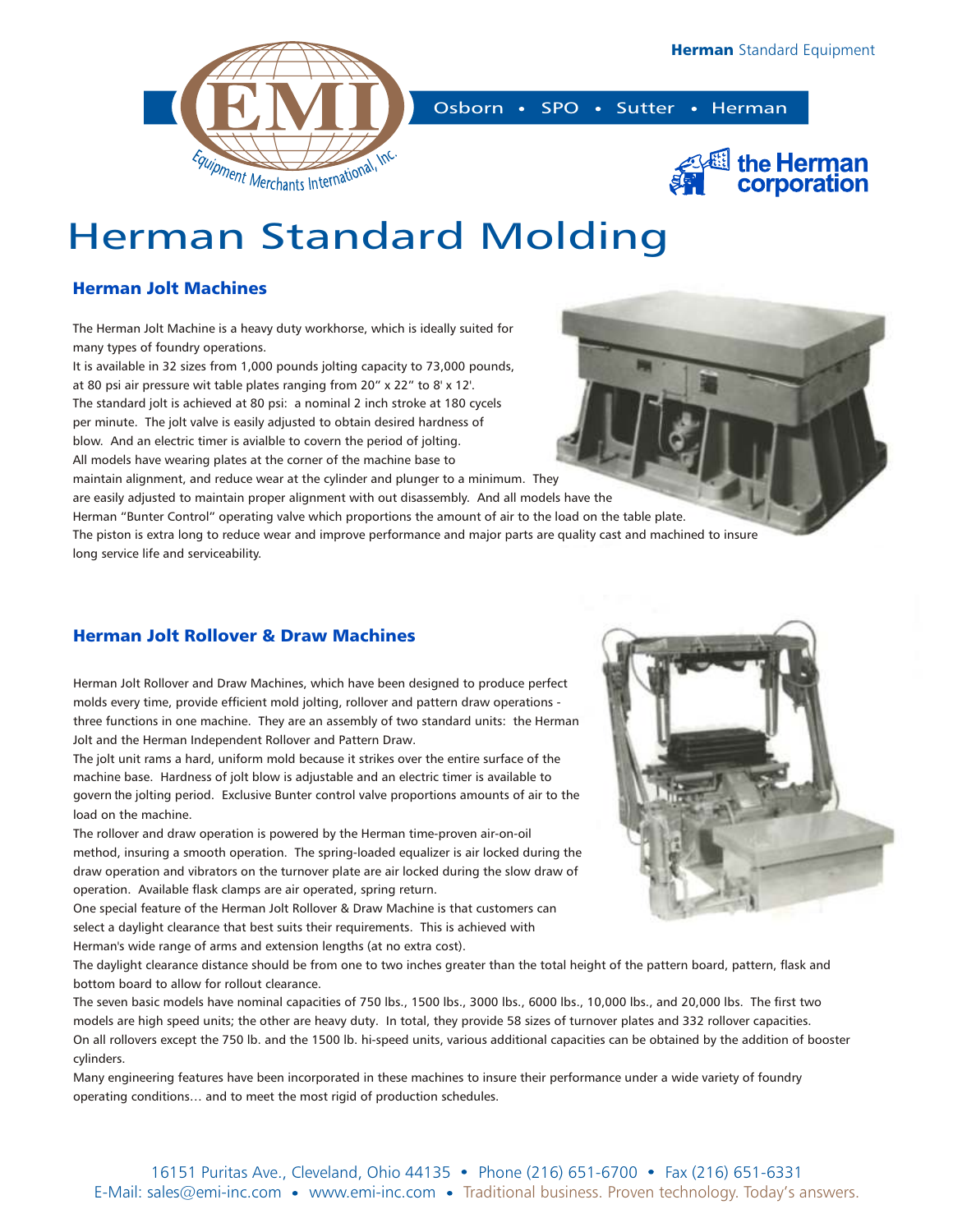



# Herman Standard Molding

## Herman Jolt Machines

The Herman Jolt Machine is a heavy duty workhorse, which is ideally suited for many types of foundry operations.

It is available in 32 sizes from 1,000 pounds jolting capacity to 73,000 pounds, at 80 psi air pressure wit table plates ranging from 20" x 22" to 8' x 12'. The standard jolt is achieved at 80 psi: a nominal 2 inch stroke at 180 cycels per minute. The jolt valve is easily adjusted to obtain desired hardness of blow. And an electric timer is avialble to covern the period of jolting. All models have wearing plates at the corner of the machine base to

maintain alignment, and reduce wear at the cylinder and plunger to a minimum. They are easily adjusted to maintain proper alignment with out disassembly. And all models have the Herman "Bunter Control" operating valve which proportions the amount of air to the load on the table plate. The piston is extra long to reduce wear and improve performance and major parts are quality cast and machined to insure long service life and serviceability.

### Herman Jolt Rollover & Draw Machines

Herman Jolt Rollover and Draw Machines, which have been designed to produce perfect molds every time, provide efficient mold jolting, rollover and pattern draw operations three functions in one machine. They are an assembly of two standard units: the Herman Jolt and the Herman Independent Rollover and Pattern Draw.

The jolt unit rams a hard, uniform mold because it strikes over the entire surface of the machine base. Hardness of jolt blow is adjustable and an electric timer is available to govern the jolting period. Exclusive Bunter control valve proportions amounts of air to the load on the machine.

The rollover and draw operation is powered by the Herman time-proven air-on-oil method, insuring a smooth operation. The spring-loaded equalizer is air locked during the draw operation and vibrators on the turnover plate are air locked during the slow draw of operation. Available flask clamps are air operated, spring return.

One special feature of the Herman Jolt Rollover & Draw Machine is that customers can select a daylight clearance that best suits their requirements. This is achieved with Herman's wide range of arms and extension lengths (at no extra cost).

The daylight clearance distance should be from one to two inches greater than the total height of the pattern board, pattern, flask and bottom board to allow for rollout clearance.

The seven basic models have nominal capacities of 750 lbs., 1500 lbs., 3000 lbs., 6000 lbs., 10,000 lbs., and 20,000 lbs. The first two models are high speed units; the other are heavy duty. In total, they provide 58 sizes of turnover plates and 332 rollover capacities. On all rollovers except the 750 lb. and the 1500 lb. hi-speed units, various additional capacities can be obtained by the addition of booster cylinders.

Many engineering features have been incorporated in these machines to insure their performance under a wide variety of foundry operating conditions… and to meet the most rigid of production schedules.